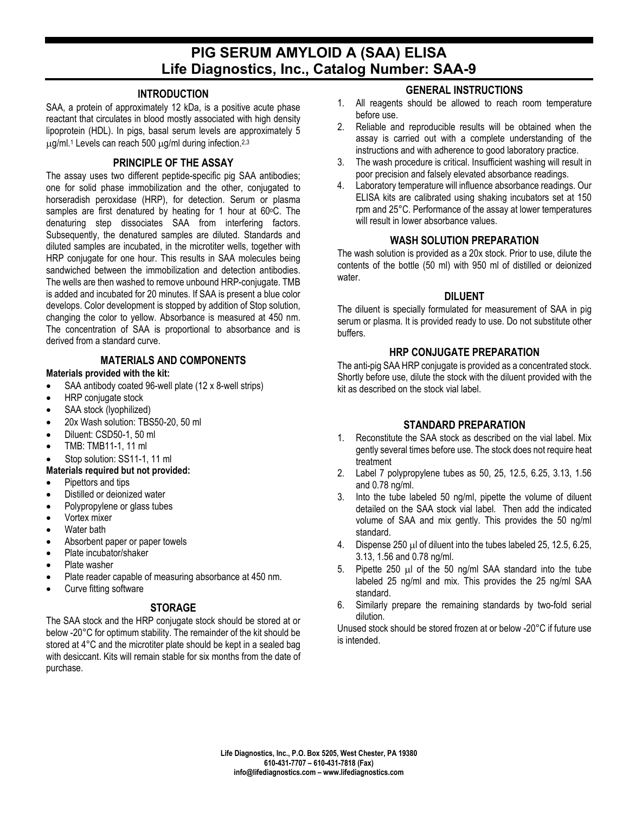# **PIG SERUM AMYLOID A (SAA) ELISA Life Diagnostics, Inc., Catalog Number: SAA-9**

### **INTRODUCTION**

SAA, a protein of approximately 12 kDa, is a positive acute phase reactant that circulates in blood mostly associated with high density lipoprotein (HDL). In pigs, basal serum levels are approximately 5 µg/ml. <sup>1</sup> Levels can reach 500 µg/ml during infection. 2,3

#### **PRINCIPLE OF THE ASSAY**

The assay uses two different peptide-specific pig SAA antibodies; one for solid phase immobilization and the other, conjugated to horseradish peroxidase (HRP), for detection. Serum or plasma samples are first denatured by heating for 1 hour at 60°C. The denaturing step dissociates SAA from interfering factors. Subsequently, the denatured samples are diluted. Standards and diluted samples are incubated, in the microtiter wells, together with HRP conjugate for one hour. This results in SAA molecules being sandwiched between the immobilization and detection antibodies. The wells are then washed to remove unbound HRP-conjugate. TMB is added and incubated for 20 minutes. If SAA is present a blue color develops. Color development is stopped by addition of Stop solution, changing the color to yellow. Absorbance is measured at 450 nm. The concentration of SAA is proportional to absorbance and is derived from a standard curve.

#### **MATERIALS AND COMPONENTS**

#### **Materials provided with the kit:**

- SAA antibody coated 96-well plate (12 x 8-well strips)
- HRP conjugate stock
- SAA stock (Ivophilized)
- 20x Wash solution: TBS50-20, 50 ml
- Diluent: CSD50-1, 50 ml
- TMB: TMB11-1, 11 ml

#### Stop solution: SS11-1, 11 ml

- **Materials required but not provided:**
- Pipettors and tips
- Distilled or deionized water
- Polypropylene or glass tubes
- Vortex mixer
- Water bath
- Absorbent paper or paper towels
- Plate incubator/shaker
- Plate washer
- Plate reader capable of measuring absorbance at 450 nm.
- Curve fitting software

### **STORAGE**

The SAA stock and the HRP conjugate stock should be stored at or below -20°C for optimum stability. The remainder of the kit should be stored at 4°C and the microtiter plate should be kept in a sealed bag with desiccant. Kits will remain stable for six months from the date of purchase.

# **GENERAL INSTRUCTIONS**

- 1. All reagents should be allowed to reach room temperature before use.
- 2. Reliable and reproducible results will be obtained when the assay is carried out with a complete understanding of the instructions and with adherence to good laboratory practice.
- 3. The wash procedure is critical. Insufficient washing will result in poor precision and falsely elevated absorbance readings.
- 4. Laboratory temperature will influence absorbance readings. Our ELISA kits are calibrated using shaking incubators set at 150 rpm and 25°C. Performance of the assay at lower temperatures will result in lower absorbance values.

### **WASH SOLUTION PREPARATION**

The wash solution is provided as a 20x stock. Prior to use, dilute the contents of the bottle (50 ml) with 950 ml of distilled or deionized water.

#### **DILUENT**

The diluent is specially formulated for measurement of SAA in pig serum or plasma. It is provided ready to use. Do not substitute other buffers.

# **HRP CONJUGATE PREPARATION**

The anti-pig SAA HRP conjugate is provided as a concentrated stock. Shortly before use, dilute the stock with the diluent provided with the kit as described on the stock vial label.

# **STANDARD PREPARATION**

- 1. Reconstitute the SAA stock as described on the vial label. Mix gently several times before use. The stock does not require heat treatment
- 2. Label 7 polypropylene tubes as 50, 25, 12.5, 6.25, 3.13, 1.56 and 0.78 ng/ml.
- 3. Into the tube labeled 50 ng/ml, pipette the volume of diluent detailed on the SAA stock vial label. Then add the indicated volume of SAA and mix gently. This provides the 50 ng/ml standard.
- 4. Dispense 250 µl of diluent into the tubes labeled 25, 12.5, 6.25, 3.13, 1.56 and 0.78 ng/ml.
- 5. Pipette 250 µl of the 50 ng/ml SAA standard into the tube labeled 25 ng/ml and mix. This provides the 25 ng/ml SAA standard.
- 6. Similarly prepare the remaining standards by two-fold serial dilution.

Unused stock should be stored frozen at or below -20°C if future use is intended.